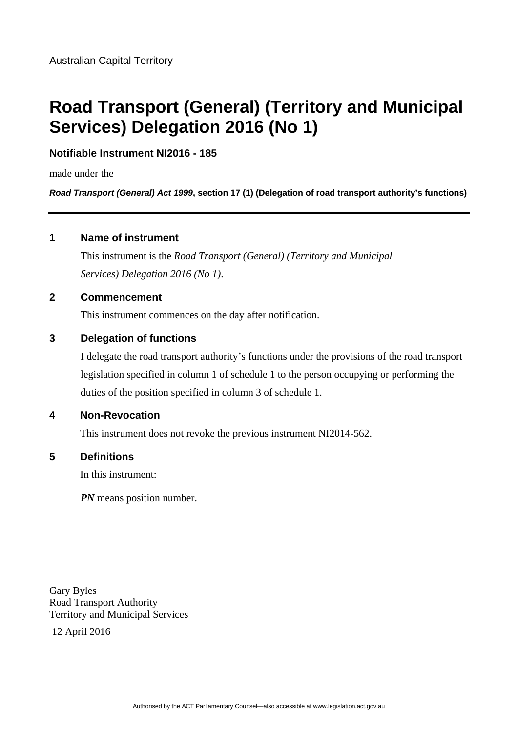## **Notifiable Instrument NI2016 - 185**

made under the

*Road Transport (General) Act 1999***, section 17 (1) (Delegation of road transport authority's functions)**

### **1 Name of instrument**

This instrument is the *Road Transport (General) (Territory and Municipal Services) Delegation 2016 (No 1)*.

#### **2 Commencement**

This instrument commences on the day after notification.

## **3 Delegation of functions**

I delegate the road transport authority's functions under the provisions of the road transport legislation specified in column 1 of schedule 1 to the person occupying or performing the duties of the position specified in column 3 of schedule 1.

#### **4 Non-Revocation**

This instrument does not revoke the previous instrument NI2014-562.

### **5 Definitions**

In this instrument:

*PN* means position number.

Gary Byles Road Transport Authority Territory and Municipal Services

12 April 2016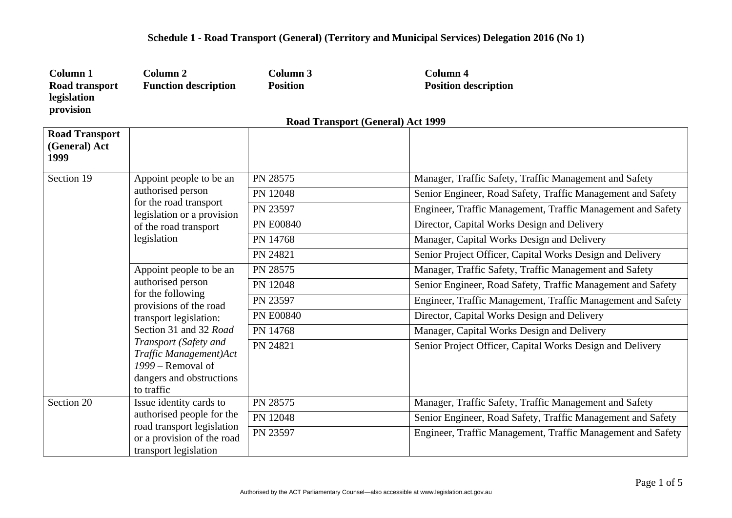| Column <sub>1</sub>                            | Column <sub>2</sub>                                                                                                                                                                                                                                                 | <b>Column 3</b>                          | <b>Column 4</b>                                             |
|------------------------------------------------|---------------------------------------------------------------------------------------------------------------------------------------------------------------------------------------------------------------------------------------------------------------------|------------------------------------------|-------------------------------------------------------------|
| Road transport<br>legislation<br>provision     | <b>Function description</b>                                                                                                                                                                                                                                         | <b>Position</b>                          | <b>Position description</b>                                 |
|                                                |                                                                                                                                                                                                                                                                     | <b>Road Transport (General) Act 1999</b> |                                                             |
| <b>Road Transport</b><br>(General) Act<br>1999 |                                                                                                                                                                                                                                                                     |                                          |                                                             |
| Section 19                                     | Appoint people to be an<br>authorised person<br>for the road transport<br>legislation or a provision<br>of the road transport<br>legislation                                                                                                                        | PN 28575                                 | Manager, Traffic Safety, Traffic Management and Safety      |
|                                                |                                                                                                                                                                                                                                                                     | PN 12048                                 | Senior Engineer, Road Safety, Traffic Management and Safety |
|                                                |                                                                                                                                                                                                                                                                     | PN 23597                                 | Engineer, Traffic Management, Traffic Management and Safety |
|                                                |                                                                                                                                                                                                                                                                     | <b>PN E00840</b>                         | Director, Capital Works Design and Delivery                 |
|                                                |                                                                                                                                                                                                                                                                     | PN 14768                                 | Manager, Capital Works Design and Delivery                  |
|                                                |                                                                                                                                                                                                                                                                     | PN 24821                                 | Senior Project Officer, Capital Works Design and Delivery   |
|                                                | Appoint people to be an<br>authorised person<br>for the following<br>provisions of the road<br>transport legislation:<br>Section 31 and 32 Road<br>Transport (Safety and<br>Traffic Management)Act<br>$1999$ – Removal of<br>dangers and obstructions<br>to traffic | PN 28575                                 | Manager, Traffic Safety, Traffic Management and Safety      |
|                                                |                                                                                                                                                                                                                                                                     | PN 12048                                 | Senior Engineer, Road Safety, Traffic Management and Safety |
|                                                |                                                                                                                                                                                                                                                                     | PN 23597                                 | Engineer, Traffic Management, Traffic Management and Safety |
|                                                |                                                                                                                                                                                                                                                                     | <b>PN E00840</b>                         | Director, Capital Works Design and Delivery                 |
|                                                |                                                                                                                                                                                                                                                                     | PN 14768                                 | Manager, Capital Works Design and Delivery                  |
|                                                |                                                                                                                                                                                                                                                                     | PN 24821                                 | Senior Project Officer, Capital Works Design and Delivery   |
| Section 20                                     | Issue identity cards to<br>authorised people for the<br>road transport legislation<br>or a provision of the road<br>transport legislation                                                                                                                           | PN 28575                                 | Manager, Traffic Safety, Traffic Management and Safety      |
|                                                |                                                                                                                                                                                                                                                                     | PN 12048                                 | Senior Engineer, Road Safety, Traffic Management and Safety |
|                                                |                                                                                                                                                                                                                                                                     | PN 23597                                 | Engineer, Traffic Management, Traffic Management and Safety |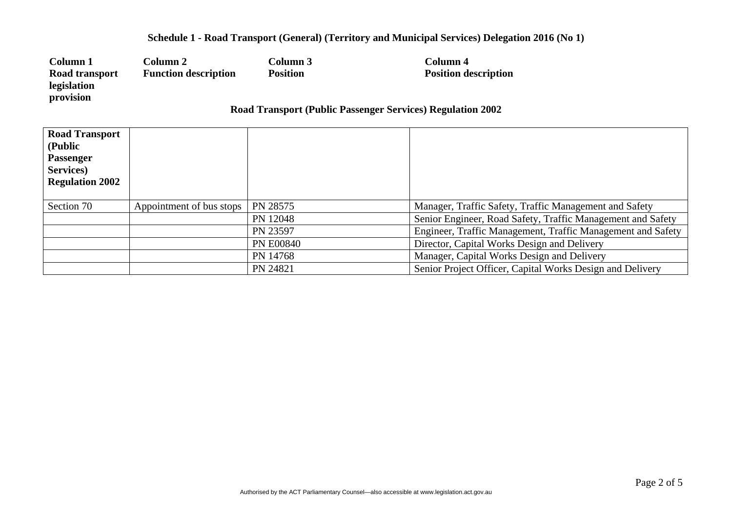| <b>Column 1</b>       | Column 2                                                          | Column 3        | Column 4                    |  |
|-----------------------|-------------------------------------------------------------------|-----------------|-----------------------------|--|
| <b>Road transport</b> | <b>Function description</b>                                       | <b>Position</b> | <b>Position description</b> |  |
| legislation           |                                                                   |                 |                             |  |
| provision             |                                                                   |                 |                             |  |
|                       | <b>Road Transport (Public Passenger Services) Regulation 2002</b> |                 |                             |  |

## **Road Transport (Public Passenger Services) Regulation 2002**  Section 70 Appointment of bus stops PN 28575 Manager, Traffic Safety, Traffic Management and Safety PN 12048 Senior Engineer, Road Safety, Traffic Management and Safety PN 23597 Engineer, Traffic Management, Traffic Management and Safety PN E00840 Director, Capital Works Design and Delivery PN 14768 Manager, Capital Works Design and Delivery PN 24821 Senior Project Officer, Capital Works Design and Delivery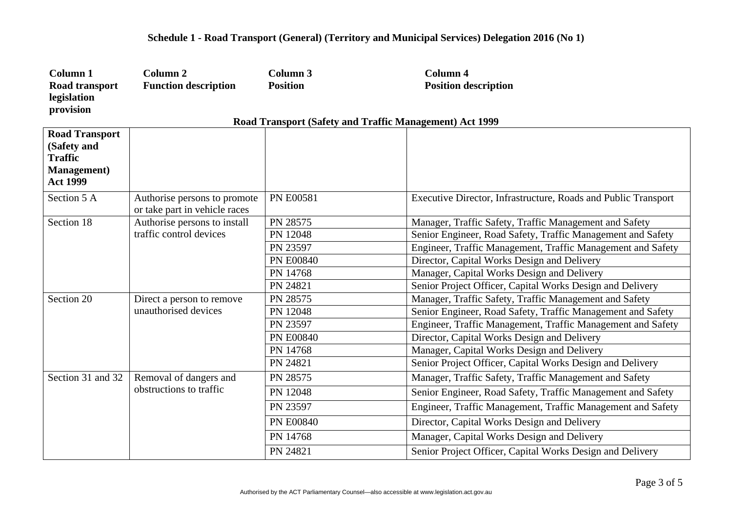| <b>Column 1</b>          | Column <sub>2</sub>                                     | <b>Column 3</b>  | <b>Column 4</b>                                                |  |
|--------------------------|---------------------------------------------------------|------------------|----------------------------------------------------------------|--|
| <b>Road transport</b>    | <b>Function description</b>                             | <b>Position</b>  | <b>Position description</b>                                    |  |
| legislation<br>provision |                                                         |                  |                                                                |  |
|                          | Road Transport (Safety and Traffic Management) Act 1999 |                  |                                                                |  |
| <b>Road Transport</b>    |                                                         |                  |                                                                |  |
| (Safety and              |                                                         |                  |                                                                |  |
| <b>Traffic</b>           |                                                         |                  |                                                                |  |
| <b>Management</b> )      |                                                         |                  |                                                                |  |
| <b>Act 1999</b>          |                                                         |                  |                                                                |  |
| Section 5 A              | Authorise persons to promote                            | <b>PN E00581</b> | Executive Director, Infrastructure, Roads and Public Transport |  |
|                          | or take part in vehicle races                           |                  |                                                                |  |
| Section 18               | Authorise persons to install                            | PN 28575         | Manager, Traffic Safety, Traffic Management and Safety         |  |
|                          | traffic control devices                                 | PN 12048         | Senior Engineer, Road Safety, Traffic Management and Safety    |  |
|                          |                                                         | PN 23597         | Engineer, Traffic Management, Traffic Management and Safety    |  |
|                          |                                                         | <b>PN E00840</b> | Director, Capital Works Design and Delivery                    |  |
|                          |                                                         | PN 14768         | Manager, Capital Works Design and Delivery                     |  |
|                          |                                                         | PN 24821         | Senior Project Officer, Capital Works Design and Delivery      |  |
| Section 20               | Direct a person to remove                               | PN 28575         | Manager, Traffic Safety, Traffic Management and Safety         |  |
|                          | unauthorised devices                                    | PN 12048         | Senior Engineer, Road Safety, Traffic Management and Safety    |  |
|                          |                                                         | PN 23597         | Engineer, Traffic Management, Traffic Management and Safety    |  |
|                          |                                                         | <b>PN E00840</b> | Director, Capital Works Design and Delivery                    |  |
|                          |                                                         | PN 14768         | Manager, Capital Works Design and Delivery                     |  |
|                          |                                                         | PN 24821         | Senior Project Officer, Capital Works Design and Delivery      |  |
| Section 31 and 32        | Removal of dangers and<br>obstructions to traffic       | PN 28575         | Manager, Traffic Safety, Traffic Management and Safety         |  |
|                          |                                                         | PN 12048         | Senior Engineer, Road Safety, Traffic Management and Safety    |  |
|                          |                                                         | PN 23597         | Engineer, Traffic Management, Traffic Management and Safety    |  |
|                          |                                                         | <b>PN E00840</b> | Director, Capital Works Design and Delivery                    |  |
|                          |                                                         | PN 14768         | Manager, Capital Works Design and Delivery                     |  |
|                          |                                                         | PN 24821         | Senior Project Officer, Capital Works Design and Delivery      |  |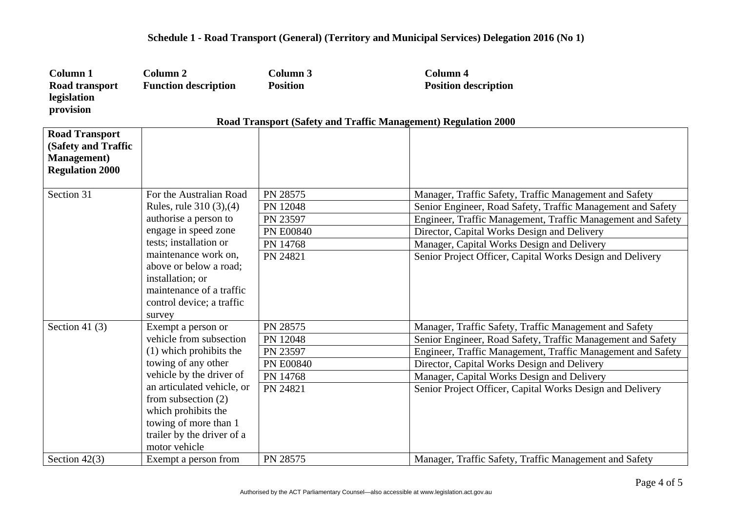| <b>Column 1</b>                                                                               | Column <sub>2</sub>                                                                                                                   | Column <sub>3</sub> | Column 4                                                       |
|-----------------------------------------------------------------------------------------------|---------------------------------------------------------------------------------------------------------------------------------------|---------------------|----------------------------------------------------------------|
| Road transport<br>legislation<br>provision                                                    | <b>Function description</b>                                                                                                           | <b>Position</b>     | <b>Position description</b>                                    |
|                                                                                               |                                                                                                                                       |                     | Road Transport (Safety and Traffic Management) Regulation 2000 |
| <b>Road Transport</b><br>(Safety and Traffic<br><b>Management</b> )<br><b>Regulation 2000</b> |                                                                                                                                       |                     |                                                                |
| Section 31                                                                                    | For the Australian Road                                                                                                               | PN 28575            | Manager, Traffic Safety, Traffic Management and Safety         |
|                                                                                               | Rules, rule 310 (3), (4)                                                                                                              | PN 12048            | Senior Engineer, Road Safety, Traffic Management and Safety    |
|                                                                                               | authorise a person to                                                                                                                 | PN 23597            | Engineer, Traffic Management, Traffic Management and Safety    |
|                                                                                               | engage in speed zone                                                                                                                  | <b>PN E00840</b>    | Director, Capital Works Design and Delivery                    |
|                                                                                               | tests; installation or                                                                                                                | PN 14768            | Manager, Capital Works Design and Delivery                     |
|                                                                                               | maintenance work on,<br>above or below a road;<br>installation; or<br>maintenance of a traffic<br>control device; a traffic<br>survey | PN 24821            | Senior Project Officer, Capital Works Design and Delivery      |
| Section 41 $(3)$                                                                              | Exempt a person or                                                                                                                    | PN 28575            | Manager, Traffic Safety, Traffic Management and Safety         |
|                                                                                               | vehicle from subsection                                                                                                               | PN 12048            | Senior Engineer, Road Safety, Traffic Management and Safety    |
|                                                                                               | (1) which prohibits the                                                                                                               | PN 23597            | Engineer, Traffic Management, Traffic Management and Safety    |
|                                                                                               | towing of any other                                                                                                                   | <b>PN E00840</b>    | Director, Capital Works Design and Delivery                    |
|                                                                                               | vehicle by the driver of                                                                                                              | PN 14768            | Manager, Capital Works Design and Delivery                     |
|                                                                                               | an articulated vehicle, or<br>from subsection $(2)$<br>which prohibits the<br>towing of more than 1                                   | PN 24821            | Senior Project Officer, Capital Works Design and Delivery      |
|                                                                                               | trailer by the driver of a<br>motor vehicle                                                                                           |                     |                                                                |
| Section $42(3)$                                                                               | Exempt a person from                                                                                                                  | PN 28575            | Manager, Traffic Safety, Traffic Management and Safety         |